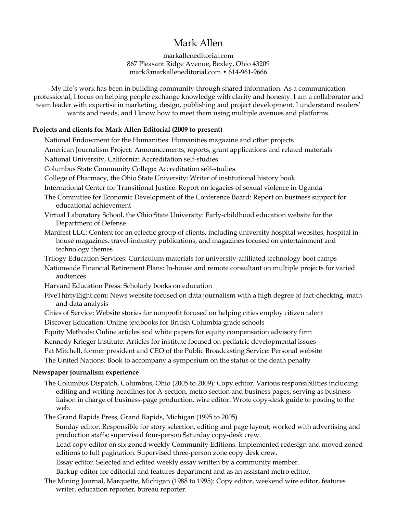# Mark Allen

markalleneditorial.com 867 Pleasant Ridge Avenue, Bexley, Ohio 43209 mark@markalleneditorial.com • 614-961-9666

My life's work has been in building community through shared information. As a communication professional, I focus on helping people exchange knowledge with clarity and honesty. I am a collaborator and team leader with expertise in marketing, design, publishing and project development. I understand readers' wants and needs, and I know how to meet them using multiple avenues and platforms.

## **Projects and clients for Mark Allen Editorial (2009 to present)**

National Endowment for the Humanities: Humanities magazine and other projects

American Journalism Project: Announcements, reports, grant applications and related materials

National University, California: Accreditation self-studies

Columbus State Community College: Accreditation self-studies

College of Pharmacy, the Ohio State University: Writer of institutional history book

International Center for Transitional Justice: Report on legacies of sexual violence in Uganda

- The Committee for Economic Development of the Conference Board: Report on business support for educational achievement
- Virtual Laboratory School, the Ohio State University: Early-childhood education website for the Department of Defense
- Manifest LLC: Content for an eclectic group of clients, including university hospital websites, hospital inhouse magazines, travel-industry publications, and magazines focused on entertainment and technology themes
- Trilogy Education Services: Curriculum materials for university-affiliated technology boot camps
- Nationwide Financial Retirement Plans: In-house and remote consultant on multiple projects for varied audiences

Harvard Education Press: Scholarly books on education

- FiveThirtyEight.com: News website focused on data journalism with a high degree of fact-checking, math and data analysis
- Cities of Service: Website stories for nonprofit focused on helping cities employ citizen talent Discover Education: Online textbooks for British Columbia grade schools

Equity Methods: Online articles and white papers for equity compensation advisory firm

Kennedy Krieger Institute: Articles for institute focused on pediatric developmental issues

Pat Mitchell, former president and CEO of the Public Broadcasting Service: Personal website

The United Nations: Book to accompany a symposium on the status of the death penalty

#### **Newspaper journalism experience**

The Columbus Dispatch, Columbus, Ohio (2005 to 2009): Copy editor. Various responsibilities including editing and writing headlines for A-section, metro section and business pages, serving as business liaison in charge of business-page production, wire editor. Wrote copy-desk guide to posting to the web.

The Grand Rapids Press, Grand Rapids, Michigan (1995 to 2005)

Sunday editor. Responsible for story selection, editing and page layout; worked with advertising and production staffs; supervised four-person Saturday copy-desk crew.

Lead copy editor on six zoned weekly Community Editions. Implemented redesign and moved zoned editions to full pagination. Supervised three-person zone copy desk crew.

Essay editor. Selected and edited weekly essay written by a community member.

Backup editor for editorial and features department and as an assistant metro editor.

The Mining Journal, Marquette, Michigan (1988 to 1995): Copy editor, weekend wire editor, features writer, education reporter, bureau reporter.